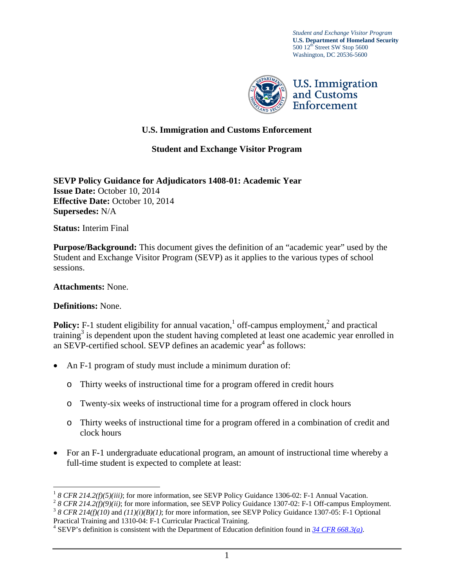*Student and Exchange Visitor Program* **U.S. Department of Homeland Security** 500 12<sup>th</sup> Street SW Stop 5600 Washington, DC 20536-5600



## **U.S. Immigration and Customs Enforcement**

**Student and Exchange Visitor Program**

**SEVP Policy Guidance for Adjudicators 1408-01: Academic Year Issue Date:** October 10, 2014 **Effective Date:** October 10, 2014 **Supersedes:** N/A

**Status:** Interim Final

**Purpose/Background:** This document gives the definition of an "academic year" used by the Student and Exchange Visitor Program (SEVP) as it applies to the various types of school sessions.

## **Attachments:** None.

## **Definitions:** None.

 $\overline{a}$ 

**Policy:** F-1 student eligibility for annual vacation,  $\frac{1}{1}$  off-campus employment,  $\frac{2}{1}$  and practical training<sup>3</sup> is dependent upon the student having completed at least one academic year enrolled in an SEVP-certified school. SEVP defines an academic year<sup>4</sup> as follows:

- An F-1 program of study must include a minimum duration of:
	- o Thirty weeks of instructional time for a program offered in credit hours
	- o Twenty-six weeks of instructional time for a program offered in clock hours
	- o Thirty weeks of instructional time for a program offered in a combination of credit and clock hours
- For an F-1 undergraduate educational program, an amount of instructional time whereby a full-time student is expected to complete at least:

<sup>&</sup>lt;sup>1</sup> 8 CFR 214.2(f)(5)(iii); for more information, see SEVP Policy Guidance 1306-02: F-1 Annual Vacation.<br><sup>2</sup> 8 CFR 214.2(f)(9)(ii); for more information, see SEVP Policy Guidance 1307-02: F-1 Off-campus Employment.<br><sup>3</sup> 8

Practical Training and 1310-04: F-1 Curricular Practical Training. 4

<sup>&</sup>lt;sup>4</sup> SEVP's definition is consistent with the Department of Education definition found in  $\frac{34 \, CFR \, 668.3(a)}{a}$ .